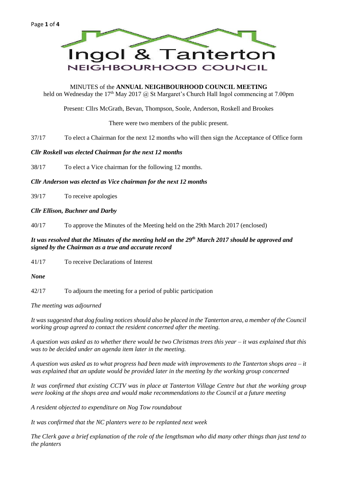

MINUTES of the **ANNUAL NEIGHBOURHOOD COUNCIL MEETING** held on Wednesday the 17<sup>th</sup> May 2017 @ St Margaret's Church Hall Ingol commencing at 7.00pm

Present: Cllrs McGrath, Bevan, Thompson, Soole, Anderson, Roskell and Brookes

There were two members of the public present.

37/17 To elect a Chairman for the next 12 months who will then sign the Acceptance of Office form

# *Cllr Roskell was elected Chairman for the next 12 months*

38/17 To elect a Vice chairman for the following 12 months.

*Cllr Anderson was elected as Vice chairman for the next 12 months*

39/17 To receive apologies

# *Cllr Ellison, Buchner and Darby*

40/17 To approve the Minutes of the Meeting held on the 29th March 2017 (enclosed)

# *It was resolved that the Minutes of the meeting held on the 29th March 2017 should be approved and signed by the Chairman as a true and accurate record*

41/17 To receive Declarations of Interest

*None*

42/17 To adjourn the meeting for a period of public participation

*The meeting was adjourned*

*It was suggested that dog fouling notices should also be placed in the Tanterton area, a member of the Council working group agreed to contact the resident concerned after the meeting.*

*A question was asked as to whether there would be two Christmas trees this year – it was explained that this was to be decided under an agenda item later in the meeting.*

*A question was asked as to what progress had been made with improvements to the Tanterton shops area – it was explained that an update would be provided later in the meeting by the working group concerned*

*It was confirmed that existing CCTV was in place at Tanterton Village Centre but that the working group were looking at the shops area and would make recommendations to the Council at a future meeting*

*A resident objected to expenditure on Nog Tow roundabout*

*It was confirmed that the NC planters were to be replanted next week*

*The Clerk gave a brief explanation of the role of the lengthsman who did many other things than just tend to the planters*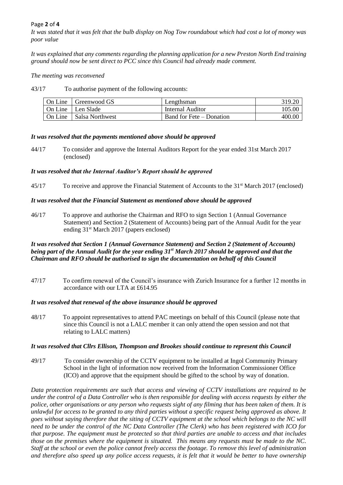# Page **2** of **4**

*It was stated that it was felt that the bulb display on Nog Tow roundabout which had cost a lot of money was poor value*

*It was explained that any comments regarding the planning application for a new Preston North End training ground should now be sent direct to PCC since this Council had already made comment.*

*The meeting was reconvened*

43/17 To authorise payment of the following accounts:

| On Line   Greenwood GS    | Lengthsman               | 319.20 |
|---------------------------|--------------------------|--------|
| On Line   Len Slade       | Internal Auditor         | 105.00 |
| On Line   Salsa Northwest | Band for Fete – Donation | 400.00 |

### *It was resolved that the payments mentioned above should be approved*

44/17 To consider and approve the Internal Auditors Report for the year ended 31st March 2017 (enclosed)

### *It was resolved that the Internal Auditor's Report should be approved*

45/17 To receive and approve the Financial Statement of Accounts to the 31<sup>st</sup> March 2017 (enclosed)

### *It was resolved that the Financial Statement as mentioned above should be approved*

46/17 To approve and authorise the Chairman and RFO to sign Section 1 (Annual Governance Statement) and Section 2 (Statement of Accounts) being part of the Annual Audit for the year ending 31st March 2017 (papers enclosed)

# *It was resolved that Section 1 (Annual Governance Statement) and Section 2 (Statement of Accounts) being part of the Annual Audit for the year ending 31st March 2017 should be approved and that the Chairman and RFO should be authorised to sign the documentation on behalf of this Council*

47/17 To confirm renewal of the Council's insurance with Zurich Insurance for a further 12 months in accordance with our LTA at £614.95

### *It was resolved that renewal of the above insurance should be approved*

48/17 To appoint representatives to attend PAC meetings on behalf of this Council (please note that since this Council is not a LALC member it can only attend the open session and not that relating to LALC matters)

#### *It was resolved that Cllrs Ellison, Thompson and Brookes should continue to represent this Council*

49/17 To consider ownership of the CCTV equipment to be installed at Ingol Community Primary School in the light of information now received from the Information Commissioner Office (ICO) and approve that the equipment should be gifted to the school by way of donation.

*Data protection requirements are such that access and viewing of CCTV installations are required to be under the control of a Data Controller who is then responsible for dealing with access requests by either the police, other organisations or any person who requests sight of any filming that has been taken of them. It is unlawful for access to be granted to any third parties without a specific request being approved as above. It goes without saying therefore that the siting of CCTV equipment at the school which belongs to the NC will need to be under the control of the NC Data Controller (The Clerk) who has been registered with ICO for that purpose. The equipment must be protected so that third parties are unable to access and that includes those on the premises where the equipment is situated. This means any requests must be made to the NC. Staff at the school or even the police cannot freely access the footage. To remove this level of administration and therefore also speed up any police access requests, it is felt that it would be better to have ownership*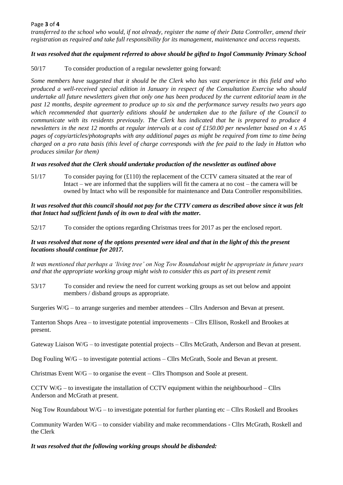# Page **3** of **4**

*transferred to the school who would, if not already, register the name of their Data Controller, amend their registration as required and take full responsibility for its management, maintenance and access requests.*

# *It was resolved that the equipment referred to above should be gifted to Ingol Community Primary School*

50/17 To consider production of a regular newsletter going forward:

*Some members have suggested that it should be the Clerk who has vast experience in this field and who produced a well-received special edition in January in respect of the Consultation Exercise who should undertake all future newsletters given that only one has been produced by the current editorial team in the past 12 months, despite agreement to produce up to six and the performance survey results two years ago which recommended that quarterly editions should be undertaken due to the failure of the Council to communicate with its residents previously. The Clerk has indicated that he is prepared to produce 4 newsletters in the next 12 months at regular intervals at a cost of £150.00 per newsletter based on 4 x A5 pages of copy/articles/photographs with any additional pages as might be required from time to time being charged on a pro rata basis (this level of charge corresponds with the fee paid to the lady in Hutton who produces similar for them)*

# *It was resolved that the Clerk should undertake production of the newsletter as outlined above*

51/17 To consider paying for (£110) the replacement of the CCTV camera situated at the rear of Intact – we are informed that the suppliers will fit the camera at no cost – the camera will be owned by Intact who will be responsible for maintenance and Data Controller responsibilities.

# *It was resolved that this council should not pay for the CTTV camera as described above since it was felt that Intact had sufficient funds of its own to deal with the matter.*

52/17 To consider the options regarding Christmas trees for 2017 as per the enclosed report.

# *It was resolved that none of the options presented were ideal and that in the light of this the present locations should continue for 2017.*

*It was mentioned that perhaps a 'living tree' on Nog Tow Roundabout might be appropriate in future years and that the appropriate working group might wish to consider this as part of its present remit*

53/17 To consider and review the need for current working groups as set out below and appoint members / disband groups as appropriate.

Surgeries W/G – to arrange surgeries and member attendees – Cllrs Anderson and Bevan at present.

Tanterton Shops Area – to investigate potential improvements – Cllrs Ellison, Roskell and Brookes at present.

Gateway Liaison W/G – to investigate potential projects – Cllrs McGrath, Anderson and Bevan at present.

Dog Fouling W/G – to investigate potential actions – Cllrs McGrath, Soole and Bevan at present.

Christmas Event W/G – to organise the event – Cllrs Thompson and Soole at present.

CCTV W/G – to investigate the installation of CCTV equipment within the neighbourhood – Cllrs Anderson and McGrath at present.

Nog Tow Roundabout  $W/G$  – to investigate potential for further planting etc – Cllrs Roskell and Brookes

Community Warden W/G – to consider viability and make recommendations - Cllrs McGrath, Roskell and the Clerk

### *It was resolved that the following working groups should be disbanded:*